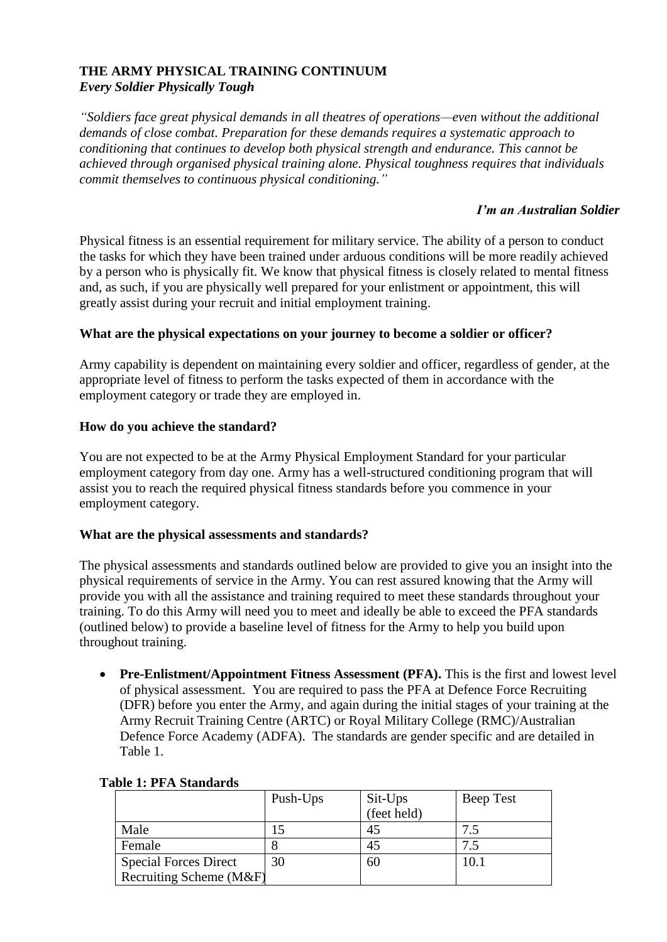## **THE ARMY PHYSICAL TRAINING CONTINUUM1** *Every Soldier Physically Tough*

*"Soldiers face great physical demands in all theatres of operations—even without the additional demands of close combat. Preparation for these demands requires a systematic approach to conditioning that continues to develop both physical strength and endurance. This cannot be achieved through organised physical training alone. Physical toughness requires that individuals commit themselves to continuous physical conditioning."*

## *I'm an Australian Soldier*

Physical fitness is an essential requirement for military service. The ability of a person to conduct the tasks for which they have been trained under arduous conditions will be more readily achieved by a person who is physically fit. We know that physical fitness is closely related to mental fitness and, as such, if you are physically well prepared for your enlistment or appointment, this will greatly assist during your recruit and initial employment training.

# **What are the physical expectations on your journey to become a soldier or officer?**

Army capability is dependent on maintaining every soldier and officer, regardless of gender, at the appropriate level of fitness to perform the tasks expected of them in accordance with the employment category or trade they are employed in.

# **How do you achieve the standard?**

You are not expected to be at the Army Physical Employment Standard for your particular employment category from day one. Army has a well-structured conditioning program that will assist you to reach the required physical fitness standards before you commence in your employment category.

## **What are the physical assessments and standards?**

The physical assessments and standards outlined below are provided to give you an insight into the physical requirements of service in the Army. You can rest assured knowing that the Army will provide you with all the assistance and training required to meet these standards throughout your training. To do this Army will need you to meet and ideally be able to exceed the PFA standards (outlined below) to provide a baseline level of fitness for the Army to help you build upon throughout training.

• **Pre-Enlistment/Appointment Fitness Assessment (PFA).** This is the first and lowest level of physical assessment. You are required to pass the PFA at Defence Force Recruiting (DFR) before you enter the Army, and again during the initial stages of your training at the Army Recruit Training Centre (ARTC) or Royal Military College (RMC)/Australian Defence Force Academy (ADFA). The standards are gender specific and are detailed in Table 1.

|                              | Push-Ups | Sit-Ups<br>(feet held) | Beep Test |
|------------------------------|----------|------------------------|-----------|
|                              |          |                        |           |
| Male                         |          | 45                     | 75        |
| Female                       |          | 45                     |           |
| <b>Special Forces Direct</b> | 30       | 60                     | 10.1      |
| Recruiting Scheme (M&F)      |          |                        |           |

## **Table 1: PFA Standards**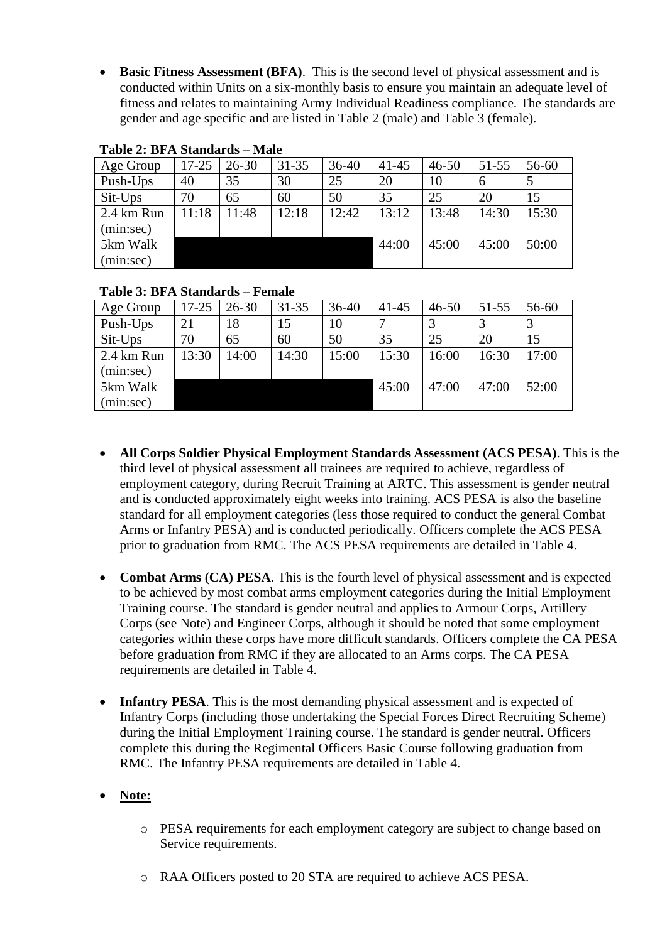**Basic Fitness Assessment (BFA)**. This is the second level of physical assessment and is conducted within Units on a six-monthly basis to ensure you maintain an adequate level of fitness and relates to maintaining Army Individual Readiness compliance. The standards are gender and age specific and are listed in Table 2 (male) and Table 3 (female).

| Age Group  | $17 - 25$ | $26 - 30$ | $31 - 35$ | $36 - 40$ | $41 - 45$ | $46 - 50$ | $51 - 55$ | 56-60 |
|------------|-----------|-----------|-----------|-----------|-----------|-----------|-----------|-------|
| Push-Ups   | 40        | 35        | 30        | 25        | 20        | 10        | 6         |       |
| $Sit$ -Ups | 70        | 65        | 60        | 50        | 35        | 25        | 20        | 15    |
| 2.4 km Run | 11:18     | 11:48     | 12:18     | 12:42     | 13:12     | 13:48     | 14:30     | 15:30 |
| (min:sec)  |           |           |           |           |           |           |           |       |
| 5km Walk   |           |           |           |           | 44:00     | 45:00     | 45:00     | 50:00 |
| (min:sec)  |           |           |           |           |           |           |           |       |

#### **Table 2: BFA Standards – Male**

#### **Table 3: BFA Standards – Female**

| Age Group  | 17-25 | 26-30 | $31 - 35$ | $36 - 40$ | $41 - 45$ | $46 - 50$ | $51 - 55$ | 56-60 |
|------------|-------|-------|-----------|-----------|-----------|-----------|-----------|-------|
| Push-Ups   | 21    | 18    | 15        | 10        |           |           |           |       |
| Sit-Ups    | 70    | 65    | 60        | 50        | 35        | 25        | 20        | 15    |
| 2.4 km Run | 13:30 | 14:00 | 14:30     | 15:00     | 15:30     | 16:00     | 16:30     | 17:00 |
| (min:sec)  |       |       |           |           |           |           |           |       |
| 5km Walk   |       |       |           |           | 45:00     | 47:00     | 47:00     | 52:00 |
| (min:sec)  |       |       |           |           |           |           |           |       |

- **All Corps Soldier Physical Employment Standards Assessment (ACS PESA)**. This is the third level of physical assessment all trainees are required to achieve, regardless of employment category, during Recruit Training at ARTC. This assessment is gender neutral and is conducted approximately eight weeks into training. ACS PESA is also the baseline standard for all employment categories (less those required to conduct the general Combat Arms or Infantry PESA) and is conducted periodically. Officers complete the ACS PESA prior to graduation from RMC. The ACS PESA requirements are detailed in Table 4.
- **Combat Arms (CA) PESA**. This is the fourth level of physical assessment and is expected to be achieved by most combat arms employment categories during the Initial Employment Training course. The standard is gender neutral and applies to Armour Corps, Artillery Corps (see Note) and Engineer Corps, although it should be noted that some employment categories within these corps have more difficult standards. Officers complete the CA PESA before graduation from RMC if they are allocated to an Arms corps. The CA PESA requirements are detailed in Table 4.
- Infantry PESA. This is the most demanding physical assessment and is expected of Infantry Corps (including those undertaking the Special Forces Direct Recruiting Scheme) during the Initial Employment Training course. The standard is gender neutral. Officers complete this during the Regimental Officers Basic Course following graduation from RMC. The Infantry PESA requirements are detailed in Table 4.

## **Note:**

- o PESA requirements for each employment category are subject to change based on Service requirements.
- o RAA Officers posted to 20 STA are required to achieve ACS PESA.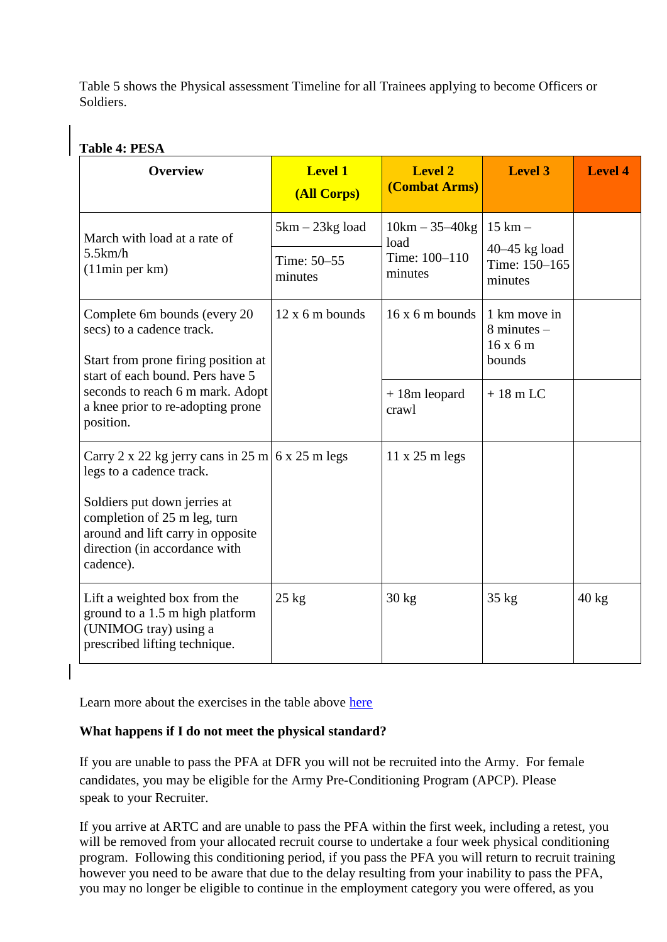Table 5 shows the Physical assessment Timeline for all Trainees applying to become Officers or Soldiers.

# **Table 4: PESA**

| <b>Overview</b>                                                                                                                              | <b>Level 1</b><br>(All Corps) | <b>Level 2</b><br>(Combat Arms) | <b>Level 3</b>                                     | <b>Level 4</b>  |
|----------------------------------------------------------------------------------------------------------------------------------------------|-------------------------------|---------------------------------|----------------------------------------------------|-----------------|
| March with load at a rate of                                                                                                                 | $5km - 23kg$ load             | $10km - 35 - 40kg$<br>load      | $15 \text{ km} -$                                  |                 |
| 5.5km/h<br>(11min per km)                                                                                                                    | Time: 50–55<br>minutes        | Time: 100-110<br>minutes        | $40-45$ kg load<br>Time: 150-165<br>minutes        |                 |
| Complete 6m bounds (every 20<br>secs) to a cadence track.<br>Start from prone firing position at                                             | $12x$ 6 m bounds              | $16x6m$ bounds                  | 1 km move in<br>$8$ minutes $-$<br>16x6m<br>bounds |                 |
| start of each bound. Pers have 5<br>seconds to reach 6 m mark. Adopt<br>a knee prior to re-adopting prone<br>position.                       |                               | $+18m$ leopard<br>crawl         | $+18$ m LC                                         |                 |
| Carry 2 x 22 kg jerry cans in 25 m 6 x 25 m legs<br>legs to a cadence track.<br>Soldiers put down jerries at<br>completion of 25 m leg, turn |                               | $11 \times 25$ m legs           |                                                    |                 |
| around and lift carry in opposite<br>direction (in accordance with<br>cadence).                                                              |                               |                                 |                                                    |                 |
| Lift a weighted box from the<br>ground to a 1.5 m high platform<br>(UNIMOG tray) using a<br>prescribed lifting technique.                    | $25 \text{ kg}$               | $30 \text{ kg}$                 | $35 \text{ kg}$                                    | $40 \text{ kg}$ |

Learn more about the exercises in the table above [here](https://www.youtube.com/watch?v=R9ShLrKWL2M&feature=youtu.be)

# **What happens if I do not meet the physical standard?**

If you are unable to pass the PFA at DFR you will not be recruited into the Army. For female candidates, you may be eligible for the Army Pre-Conditioning Program (APCP). Please speak to your Recruiter.

If you arrive at ARTC and are unable to pass the PFA within the first week, including a retest, you will be removed from your allocated recruit course to undertake a four week physical conditioning program. Following this conditioning period, if you pass the PFA you will return to recruit training however you need to be aware that due to the delay resulting from your inability to pass the PFA, you may no longer be eligible to continue in the employment category you were offered, as you